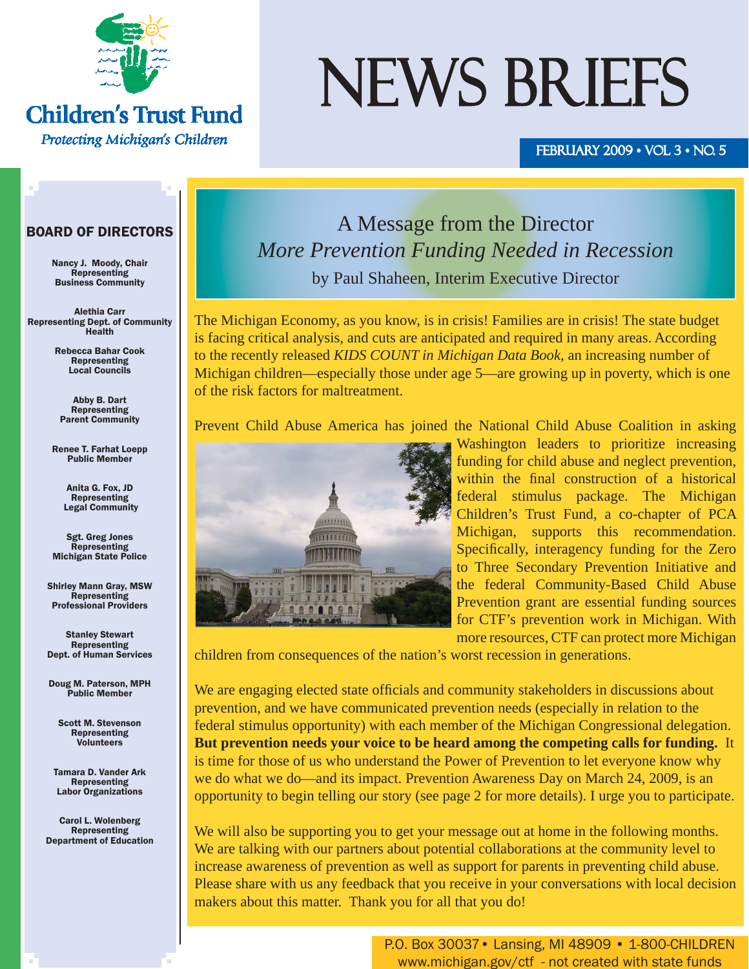

**Children's Trust Fund** 

Protecting Michigan's Children

# NEWS BRIEFS

#### FEBRUARY 2009  $\cdot$  VOL 3  $\cdot$  NO. 5

#### BOARD OF DIRECTORS

Nancy J. Moody, Chair Representing Business Community

Alethia Carr Representing Dept. of Community Health

> Rebecca Bahar Cook Representing Local Councils

Abby B. Dart **Representing** Parent Community

Renee T. Farhat Loepp Public Member

> Anita G. Fox, JD Representing Legal Community

Sgt. Greg Jones Representing Michigan State Police

Shirley Mann Gray, MSW Representing Professional Providers

Stanley Stewart Representing Dept. of Human Services

Doug M. Paterson, MPH Public Member

Scott M. Stevenson Representing Volunteers

Tamara D. Vander Ark Representing Labor Organizations

Carol L. Wolenberg Representing Department of Education

## A Message from the Director *More Prevention Funding Needed in Recession* by Paul Shaheen, Interim Executive Director

The Michigan Economy, as you know, is in crisis! Families are in crisis! The state budget is facing critical analysis, and cuts are anticipated and required in many areas. According to the recently released *KIDS COUNT in Michigan Data Book*, an increasing number of Michigan children—especially those under age 5—are growing up in poverty, which is one of the risk factors for maltreatment.

Prevent Child Abuse America has joined the National Child Abuse Coalition in asking



Washington leaders to prioritize increasing funding for child abuse and neglect prevention, within the final construction of a historical federal stimulus package. The Michigan Children's Trust Fund, a co-chapter of PCA Michigan, supports this recommendation. Specifically, interagency funding for the Zero to Three Secondary Prevention Initiative and the federal Community-Based Child Abuse Prevention grant are essential funding sources for CTF's prevention work in Michigan. With more resources, CTF can protect more Michigan

children from consequences of the nation's worst recession in generations.

We are engaging elected state officials and community stakeholders in discussions about prevention, and we have communicated prevention needs (especially in relation to the federal stimulus opportunity) with each member of the Michigan Congressional delegation. **But prevention needs your voice to be heard among the competing calls for funding.** It is time for those of us who understand the Power of Prevention to let everyone know why we do what we do—and its impact. Prevention Awareness Day on March 24, 2009, is an opportunity to begin telling our story (see page 2 for more details). I urge you to participate.

We will also be supporting you to get your message out at home in the following months. We are talking with our partners about potential collaborations at the community level to increase awareness of prevention as well as support for parents in preventing child abuse. Please share with us any feedback that you receive in your conversations with local decision makers about this matter. Thank you for all that you do!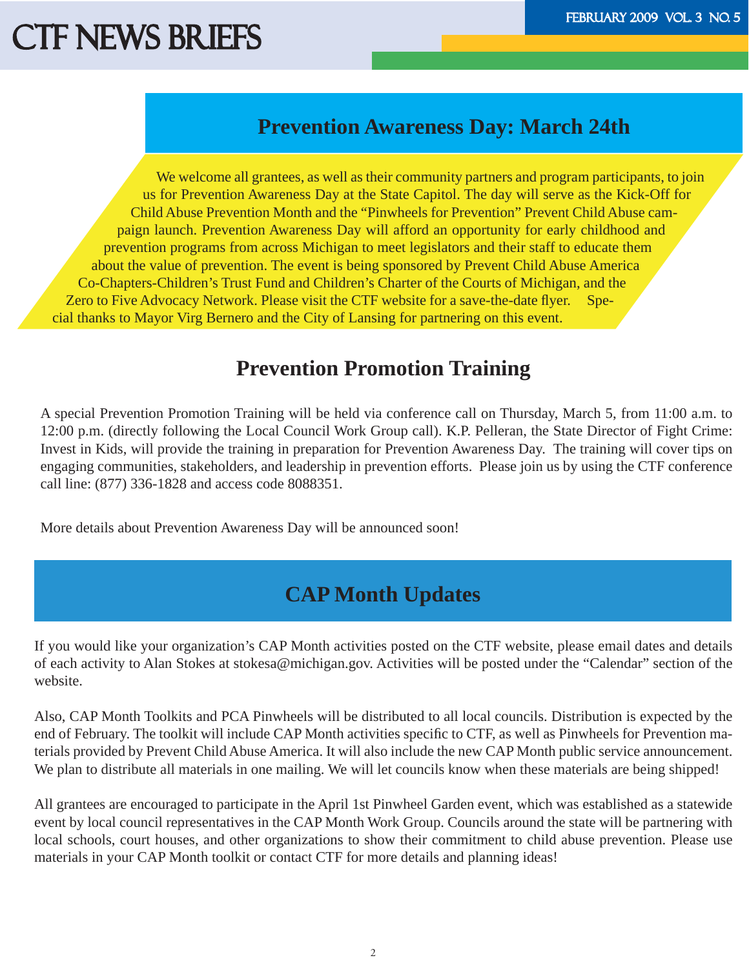### **Prevention Awareness Day: March 24th**

We welcome all grantees, as well as their community partners and program participants, to join us for Prevention Awareness Day at the State Capitol. The day will serve as the Kick-Off for Child Abuse Prevention Month and the "Pinwheels for Prevention" Prevent Child Abuse campaign launch. Prevention Awareness Day will afford an opportunity for early childhood and prevention programs from across Michigan to meet legislators and their staff to educate them about the value of prevention. The event is being sponsored by Prevent Child Abuse America Co-Chapters-Children's Trust Fund and Children's Charter of the Courts of Michigan, and the Zero to Five Advocacy Network. Please visit the CTF website for a save-the-date flyer. Special thanks to Mayor Virg Bernero and the City of Lansing for partnering on this event.

### **Prevention Promotion Training**

A special Prevention Promotion Training will be held via conference call on Thursday, March 5, from 11:00 a.m. to 12:00 p.m. (directly following the Local Council Work Group call). K.P. Pelleran, the State Director of Fight Crime: Invest in Kids, will provide the training in preparation for Prevention Awareness Day. The training will cover tips on engaging communities, stakeholders, and leadership in prevention efforts. Please join us by using the CTF conference call line: (877) 336-1828 and access code 8088351.

More details about Prevention Awareness Day will be announced soon!

## **CAP Month Updates**

If you would like your organization's CAP Month activities posted on the CTF website, please email dates and details of each activity to Alan Stokes at stokesa@michigan.gov. Activities will be posted under the "Calendar" section of the website.

Also, CAP Month Toolkits and PCA Pinwheels will be distributed to all local councils. Distribution is expected by the end of February. The toolkit will include CAP Month activities specific to CTF, as well as Pinwheels for Prevention materials provided by Prevent Child Abuse America. It will also include the new CAP Month public service announcement. We plan to distribute all materials in one mailing. We will let councils know when these materials are being shipped!

All grantees are encouraged to participate in the April 1st Pinwheel Garden event, which was established as a statewide event by local council representatives in the CAP Month Work Group. Councils around the state will be partnering with local schools, court houses, and other organizations to show their commitment to child abuse prevention. Please use materials in your CAP Month toolkit or contact CTF for more details and planning ideas!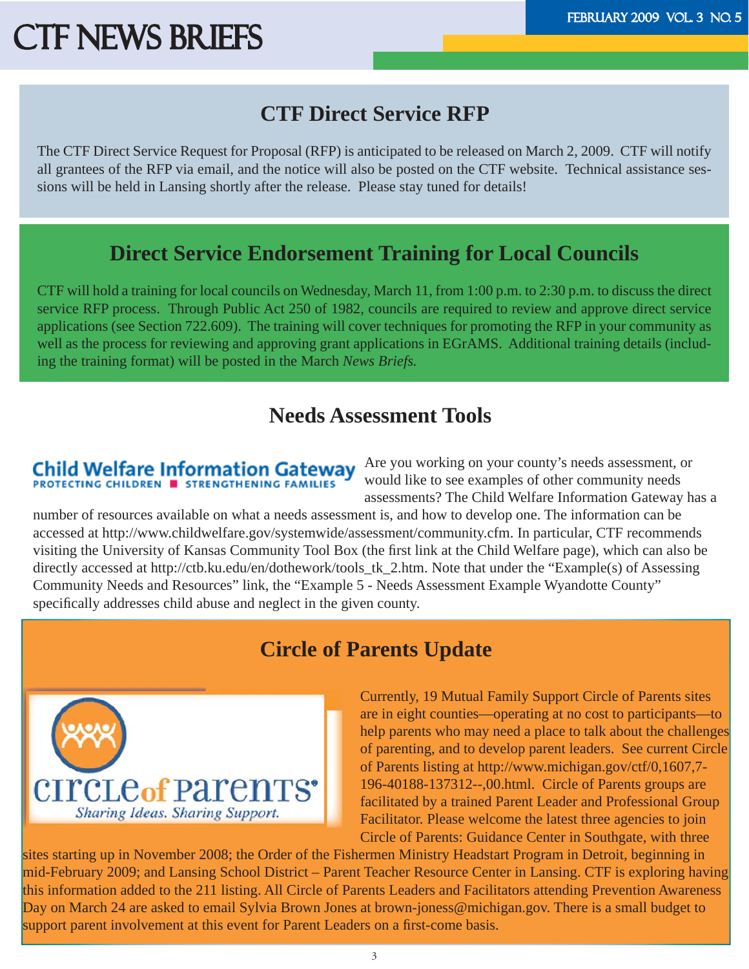## **CTF Direct Service RFP**

The CTF Direct Service Request for Proposal (RFP) is anticipated to be released on March 2, 2009. CTF will notify all grantees of the RFP via email, and the notice will also be posted on the CTF website. Technical assistance sessions will be held in Lansing shortly after the release. Please stay tuned for details!

### **Direct Service Endorsement Training for Local Councils**

CTF will hold a training for local councils on Wednesday, March 11, from 1:00 p.m. to 2:30 p.m. to discuss the direct service RFP process. Through Public Act 250 of 1982, councils are required to review and approve direct service applications (see Section 722.609). The training will cover techniques for promoting the RFP in your community as well as the process for reviewing and approving grant applications in EGrAMS. Additional training details (including the training format) will be posted in the March *News Briefs.*

### **Needs Assessment Tools**

## **Child Welfare Information Gateway**<br>**PROTECTING CHILDREN E STRENGTHENING FAMILIES**

Are you working on your county's needs assessment, or would like to see examples of other community needs assessments? The Child Welfare Information Gateway has a

number of resources available on what a needs assessment is, and how to develop one. The information can be accessed at http://www.childwelfare.gov/systemwide/assessment/community.cfm. In particular, CTF recommends visiting the University of Kansas Community Tool Box (the first link at the Child Welfare page), which can also be directly accessed at http://ctb.ku.edu/en/dothework/tools\_tk\_2.htm. Note that under the "Example(s) of Assessing Community Needs and Resources" link, the "Example 5 - Needs Assessment Example Wyandotte County" specifically addresses child abuse and neglect in the given county.





Currently, 19 Mutual Family Support Circle of Parents sites are in eight counties—operating at no cost to participants—to help parents who may need a place to talk about the challenges of parenting, and to develop parent leaders. See current Circle of Parents listing at http://www.michigan.gov/ctf/0,1607,7- 196-40188-137312--,00.html. Circle of Parents groups are facilitated by a trained Parent Leader and Professional Group Facilitator. Please welcome the latest three agencies to join Circle of Parents: Guidance Center in Southgate, with three

sites starting up in November 2008; the Order of the Fishermen Ministry Headstart Program in Detroit, beginning in mid-February 2009; and Lansing School District – Parent Teacher Resource Center in Lansing. CTF is exploring having this information added to the 211 listing. All Circle of Parents Leaders and Facilitators attending Prevention Awareness Day on March 24 are asked to email Sylvia Brown Jones at brown-joness@michigan.gov. There is a small budget to support parent involvement at this event for Parent Leaders on a first-come basis.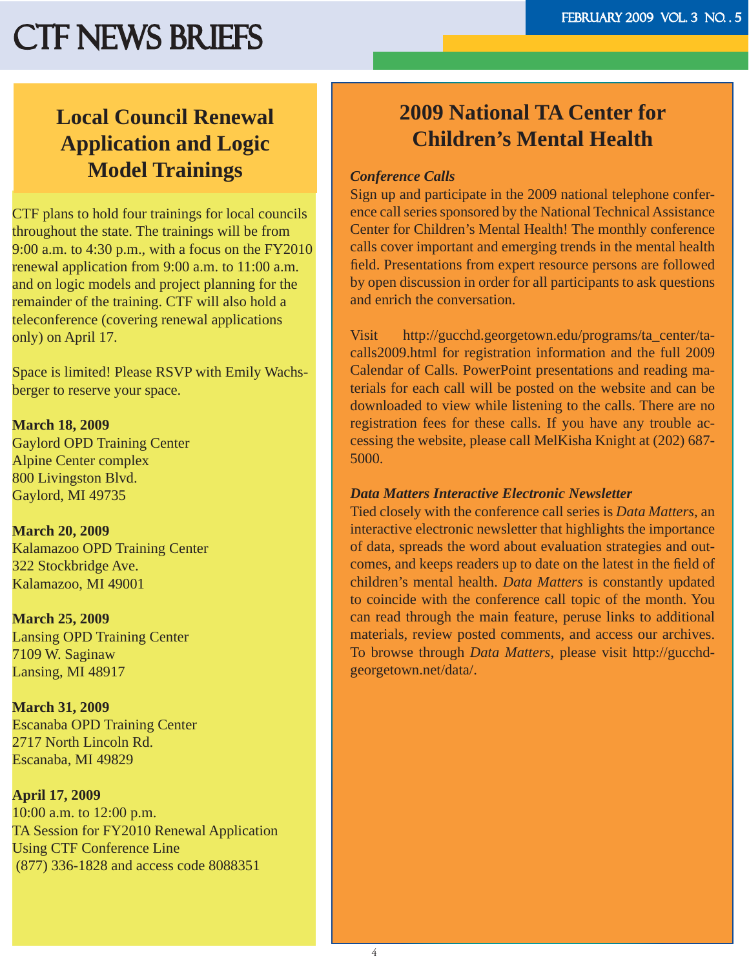## **Local Council Renewal Application and Logic Model Trainings**

CTF plans to hold four trainings for local councils throughout the state. The trainings will be from 9:00 a.m. to 4:30 p.m., with a focus on the FY2010 renewal application from 9:00 a.m. to 11:00 a.m. and on logic models and project planning for the remainder of the training. CTF will also hold a teleconference (covering renewal applications only) on April 17.

Space is limited! Please RSVP with Emily Wachsberger to reserve your space.

**March 18, 2009** Gaylord OPD Training Center Alpine Center complex 800 Livingston Blvd. Gaylord, MI 49735

#### **March 20, 2009** Kalamazoo OPD Training Center 322 Stockbridge Ave. Kalamazoo, MI 49001

**March 25, 2009**  Lansing OPD Training Center 7109 W. Saginaw Lansing, MI 48917

**March 31, 2009** Escanaba OPD Training Center 2717 North Lincoln Rd. Escanaba, MI 49829

**April 17, 2009** 10:00 a.m. to 12:00 p.m. TA Session for FY2010 Renewal Application Using CTF Conference Line (877) 336-1828 and access code 8088351

## **2009 National TA Center for Children's Mental Health**

#### *Conference Calls*

Sign up and participate in the 2009 national telephone conference call series sponsored by the National Technical Assistance Center for Children's Mental Health! The monthly conference calls cover important and emerging trends in the mental health field. Presentations from expert resource persons are followed by open discussion in order for all participants to ask questions and enrich the conversation.

Visit http://gucchd.georgetown.edu/programs/ta\_center/tacalls2009.html for registration information and the full 2009 Calendar of Calls. PowerPoint presentations and reading materials for each call will be posted on the website and can be downloaded to view while listening to the calls. There are no registration fees for these calls. If you have any trouble accessing the website, please call MelKisha Knight at (202) 687- 5000.

#### *Data Matters Interactive Electronic Newsletter*

Tied closely with the conference call series is *Data Matters*, an interactive electronic newsletter that highlights the importance of data, spreads the word about evaluation strategies and outcomes, and keeps readers up to date on the latest in the field of children's mental health. *Data Matters* is constantly updated to coincide with the conference call topic of the month. You can read through the main feature, peruse links to additional materials, review posted comments, and access our archives. To browse through *Data Matters*, please visit http://gucchdgeorgetown.net/data/.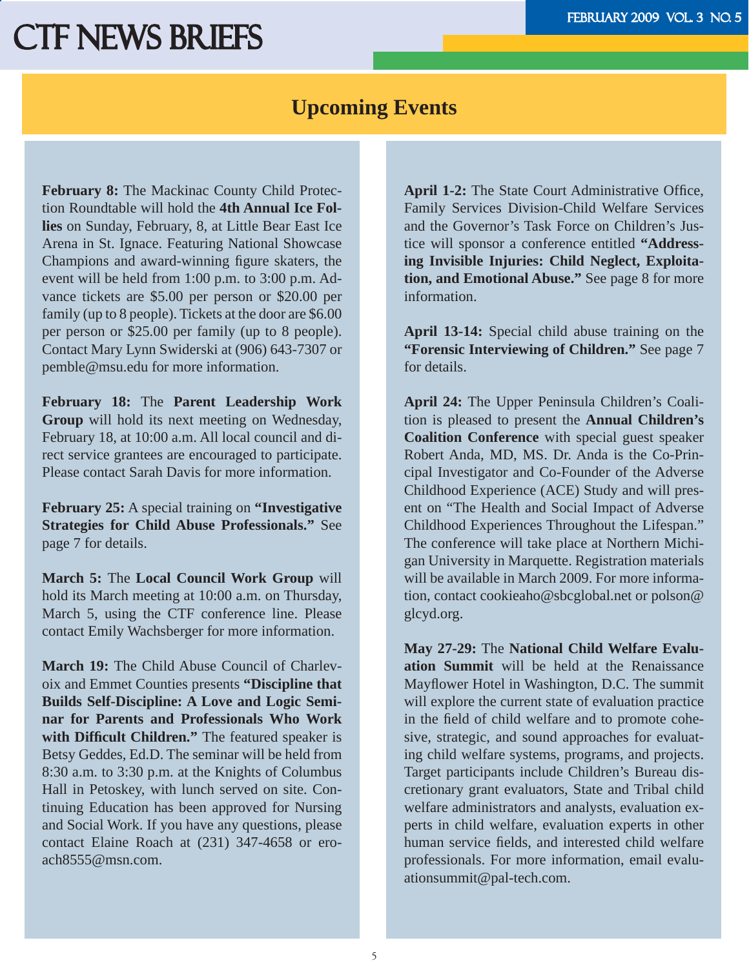### **Upcoming Events**

**February 8:** The Mackinac County Child Protection Roundtable will hold the **4th Annual Ice Follies** on Sunday, February, 8, at Little Bear East Ice Arena in St. Ignace. Featuring National Showcase Champions and award-winning figure skaters, the event will be held from 1:00 p.m. to 3:00 p.m. Advance tickets are \$5.00 per person or \$20.00 per family (up to 8 people). Tickets at the door are \$6.00 per person or \$25.00 per family (up to 8 people). Contact Mary Lynn Swiderski at (906) 643-7307 or pemble@msu.edu for more information.

**February 18:** The **Parent Leadership Work Group** will hold its next meeting on Wednesday, February 18, at 10:00 a.m. All local council and direct service grantees are encouraged to participate. Please contact Sarah Davis for more information.

**February 25:** A special training on **"Investigative Strategies for Child Abuse Professionals."** See page 7 for details.

**March 5:** The **Local Council Work Group** will hold its March meeting at 10:00 a.m. on Thursday, March 5, using the CTF conference line. Please contact Emily Wachsberger for more information.

**March 19:** The Child Abuse Council of Charlevoix and Emmet Counties presents **"Discipline that Builds Self-Discipline: A Love and Logic Seminar for Parents and Professionals Who Work**  with Difficult Children." The featured speaker is Betsy Geddes, Ed.D. The seminar will be held from 8:30 a.m. to 3:30 p.m. at the Knights of Columbus Hall in Petoskey, with lunch served on site. Continuing Education has been approved for Nursing and Social Work. If you have any questions, please contact Elaine Roach at (231) 347-4658 or eroach8555@msn.com.

**April 1-2:** The State Court Administrative Office, Family Services Division-Child Welfare Services and the Governor's Task Force on Children's Justice will sponsor a conference entitled **"Addressing Invisible Injuries: Child Neglect, Exploitation, and Emotional Abuse."** See page 8 for more information.

**April 13-14:** Special child abuse training on the **"Forensic Interviewing of Children."** See page 7 for details.

**April 24:** The Upper Peninsula Children's Coalition is pleased to present the **Annual Children's Coalition Conference** with special guest speaker Robert Anda, MD, MS. Dr. Anda is the Co-Principal Investigator and Co-Founder of the Adverse Childhood Experience (ACE) Study and will present on "The Health and Social Impact of Adverse Childhood Experiences Throughout the Lifespan." The conference will take place at Northern Michigan University in Marquette. Registration materials will be available in March 2009. For more information, contact cookieaho@sbcglobal.net or polson@ glcyd.org.

**May 27-29:** The **National Child Welfare Evaluation Summit** will be held at the Renaissance Mayflower Hotel in Washington, D.C. The summit will explore the current state of evaluation practice in the field of child welfare and to promote cohesive, strategic, and sound approaches for evaluating child welfare systems, programs, and projects. Target participants include Children's Bureau discretionary grant evaluators, State and Tribal child welfare administrators and analysts, evaluation experts in child welfare, evaluation experts in other human service fields, and interested child welfare professionals. For more information, email evaluationsummit@pal-tech.com.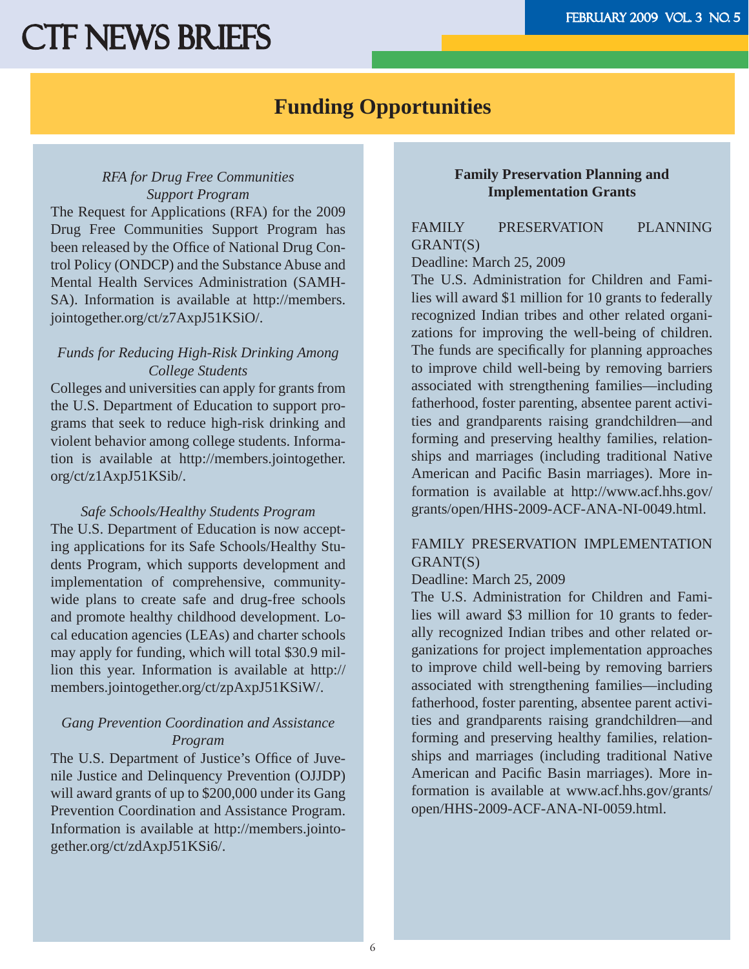### **Funding Opportunities**

#### *RFA for Drug Free Communities Support Program*

The Request for Applications (RFA) for the 2009 Drug Free Communities Support Program has been released by the Office of National Drug Control Policy (ONDCP) and the Substance Abuse and Mental Health Services Administration (SAMH-SA). Information is available at http://members. jointogether.org/ct/z7AxpJ51KSiO/.

#### *Funds for Reducing High-Risk Drinking Among College Students*

Colleges and universities can apply for grants from the U.S. Department of Education to support programs that seek to reduce high-risk drinking and violent behavior among college students. Information is available at http://members.jointogether. org/ct/z1AxpJ51KSib/.

*Safe Schools/Healthy Students Program* The U.S. Department of Education is now accepting applications for its Safe Schools/Healthy Students Program, which supports development and implementation of comprehensive, communitywide plans to create safe and drug-free schools and promote healthy childhood development. Local education agencies (LEAs) and charter schools may apply for funding, which will total \$30.9 million this year. Information is available at http:// members.jointogether.org/ct/zpAxpJ51KSiW/.

#### *Gang Prevention Coordination and Assistance Program*

The U.S. Department of Justice's Office of Juvenile Justice and Delinquency Prevention (OJJDP) will award grants of up to \$200,000 under its Gang Prevention Coordination and Assistance Program. Information is available at http://members.jointogether.org/ct/zdAxpJ51KSi6/.

#### **Family Preservation Planning and Implementation Grants**

#### FAMILY PRESERVATION PLANNING GRANT(S)

#### Deadline: March 25, 2009

The U.S. Administration for Children and Families will award \$1 million for 10 grants to federally recognized Indian tribes and other related organizations for improving the well-being of children. The funds are specifically for planning approaches to improve child well-being by removing barriers associated with strengthening families—including fatherhood, foster parenting, absentee parent activities and grandparents raising grandchildren—and forming and preserving healthy families, relationships and marriages (including traditional Native American and Pacific Basin marriages). More information is available at http://www.acf.hhs.gov/ grants/open/HHS-2009-ACF-ANA-NI-0049.html.

#### FAMILY PRESERVATION IMPLEMENTATION GRANT(S)

#### Deadline: March 25, 2009

The U.S. Administration for Children and Families will award \$3 million for 10 grants to federally recognized Indian tribes and other related organizations for project implementation approaches to improve child well-being by removing barriers associated with strengthening families—including fatherhood, foster parenting, absentee parent activities and grandparents raising grandchildren—and forming and preserving healthy families, relationships and marriages (including traditional Native American and Pacific Basin marriages). More information is available at www.acf.hhs.gov/grants/ open/HHS-2009-ACF-ANA-NI-0059.html.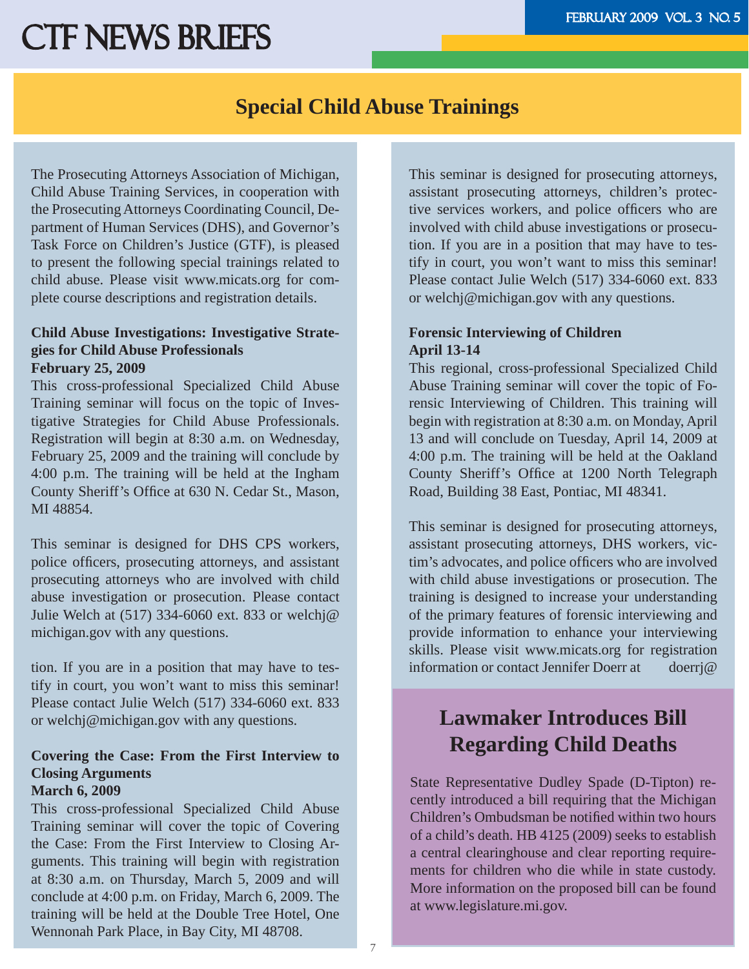### **Special Child Abuse Trainings**

The Prosecuting Attorneys Association of Michigan, Child Abuse Training Services, in cooperation with the Prosecuting Attorneys Coordinating Council, Department of Human Services (DHS), and Governor's Task Force on Children's Justice (GTF), is pleased to present the following special trainings related to child abuse. Please visit www.micats.org for complete course descriptions and registration details.

#### **Child Abuse Investigations: Investigative Strategies for Child Abuse Professionals February 25, 2009**

This cross-professional Specialized Child Abuse Training seminar will focus on the topic of Investigative Strategies for Child Abuse Professionals. Registration will begin at 8:30 a.m. on Wednesday, February 25, 2009 and the training will conclude by 4:00 p.m. The training will be held at the Ingham County Sheriff's Office at 630 N. Cedar St., Mason, MI 48854.

This seminar is designed for DHS CPS workers, police officers, prosecuting attorneys, and assistant prosecuting attorneys who are involved with child abuse investigation or prosecution. Please contact Julie Welch at (517) 334-6060 ext. 833 or welchj@ michigan.gov with any questions.

tion. If you are in a position that may have to testify in court, you won't want to miss this seminar! Please contact Julie Welch (517) 334-6060 ext. 833 or welchj@michigan.gov with any questions.

#### **Covering the Case: From the First Interview to Closing Arguments**

#### **March 6, 2009**

This cross-professional Specialized Child Abuse Training seminar will cover the topic of Covering the Case: From the First Interview to Closing Arguments. This training will begin with registration at 8:30 a.m. on Thursday, March 5, 2009 and will conclude at 4:00 p.m. on Friday, March 6, 2009. The training will be held at the Double Tree Hotel, One Wennonah Park Place, in Bay City, MI 48708.

This seminar is designed for prosecuting attorneys, assistant prosecuting attorneys, children's protective services workers, and police officers who are involved with child abuse investigations or prosecution. If you are in a position that may have to testify in court, you won't want to miss this seminar! Please contact Julie Welch (517) 334-6060 ext. 833 or welchj@michigan.gov with any questions.

#### **Forensic Interviewing of Children April 13-14**

This regional, cross-professional Specialized Child Abuse Training seminar will cover the topic of Forensic Interviewing of Children. This training will begin with registration at 8:30 a.m. on Monday, April 13 and will conclude on Tuesday, April 14, 2009 at 4:00 p.m. The training will be held at the Oakland County Sheriff's Office at 1200 North Telegraph Road, Building 38 East, Pontiac, MI 48341.

This seminar is designed for prosecuting attorneys, assistant prosecuting attorneys, DHS workers, victim's advocates, and police officers who are involved with child abuse investigations or prosecution. The training is designed to increase your understanding of the primary features of forensic interviewing and provide information to enhance your interviewing skills. Please visit www.micats.org for registration information or contact Jennifer Doerr at doerrj@

## **Lawmaker Introduces Bill Regarding Child Deaths**

State Representative Dudley Spade (D-Tipton) recently introduced a bill requiring that the Michigan Children's Ombudsman be notified within two hours of a child's death. HB 4125 (2009) seeks to establish a central clearinghouse and clear reporting requirements for children who die while in state custody. More information on the proposed bill can be found at www.legislature.mi.gov.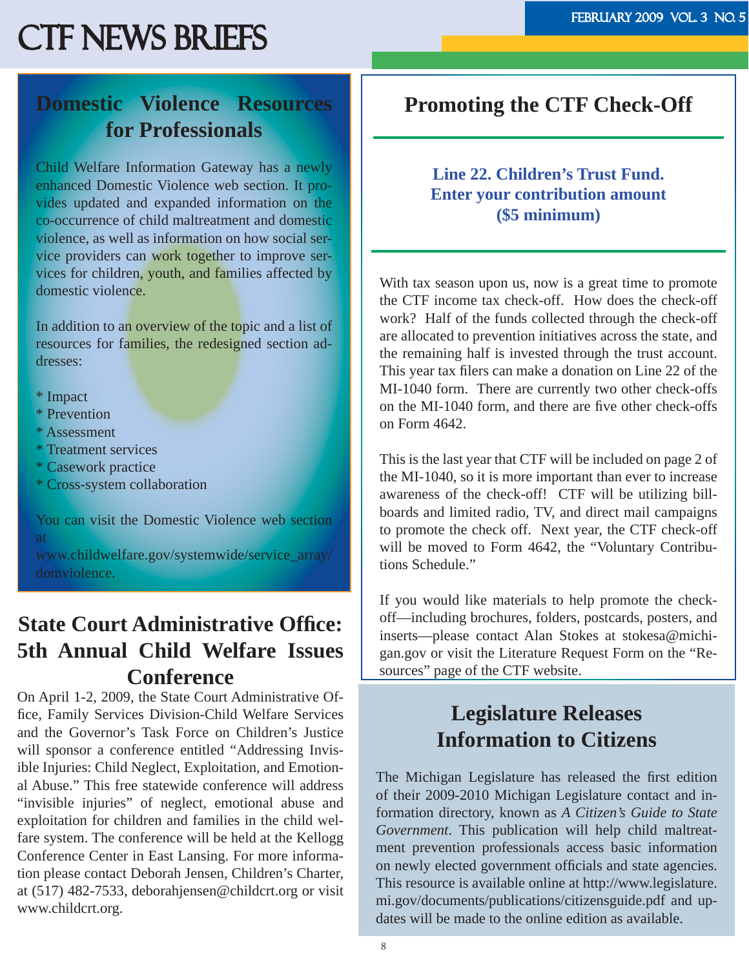## **Domestic Violence Resources for Professionals**

Child Welfare Information Gateway has a newly enhanced Domestic Violence web section. It provides updated and expanded information on the co-occurrence of child maltreatment and domestic violence, as well as information on how social service providers can work together to improve services for children, youth, and families affected by domestic violence.

In addition to an overview of the topic and a list of resources for families, the redesigned section addresses:

\* Impact

- \* Prevention
- \* Assessment
- \* Treatment services
- \* Casework practice
- \* Cross-system collaboration

You can visit the Domestic Violence web section at

www.childwelfare.gov/systemwide/service\_array/ domviolence.

## **State Court Administrative Office: 5th Annual Child Welfare Issues Conference**

On April 1-2, 2009, the State Court Administrative Office, Family Services Division-Child Welfare Services and the Governor's Task Force on Children's Justice will sponsor a conference entitled "Addressing Invisible Injuries: Child Neglect, Exploitation, and Emotional Abuse." This free statewide conference will address "invisible injuries" of neglect, emotional abuse and exploitation for children and families in the child welfare system. The conference will be held at the Kellogg Conference Center in East Lansing. For more information please contact Deborah Jensen, Children's Charter, at (517) 482-7533, deborahjensen@childcrt.org or visit www.childcrt.org.

### **Promoting the CTF Check-Off**

#### **Line 22. Children's Trust Fund. Enter your contribution amount (\$5 minimum)**

With tax season upon us, now is a great time to promote the CTF income tax check-off. How does the check-off work? Half of the funds collected through the check-off are allocated to prevention initiatives across the state, and the remaining half is invested through the trust account. This year tax filers can make a donation on Line 22 of the MI-1040 form. There are currently two other check-offs on the MI-1040 form, and there are five other check-offs on Form 4642.

This is the last year that CTF will be included on page 2 of the MI-1040, so it is more important than ever to increase awareness of the check-off! CTF will be utilizing billboards and limited radio, TV, and direct mail campaigns to promote the check off. Next year, the CTF check-off will be moved to Form 4642, the "Voluntary Contributions Schedule."

If you would like materials to help promote the checkoff—including brochures, folders, postcards, posters, and inserts—please contact Alan Stokes at stokesa@michigan.gov or visit the Literature Request Form on the "Resources" page of the CTF website.

## **Legislature Releases Information to Citizens**

The Michigan Legislature has released the first edition of their 2009-2010 Michigan Legislature contact and information directory, known as *A Citizen's Guide to State Government*. This publication will help child maltreatment prevention professionals access basic information on newly elected government officials and state agencies. This resource is available online at http://www.legislature. mi.gov/documents/publications/citizensguide.pdf and updates will be made to the online edition as available.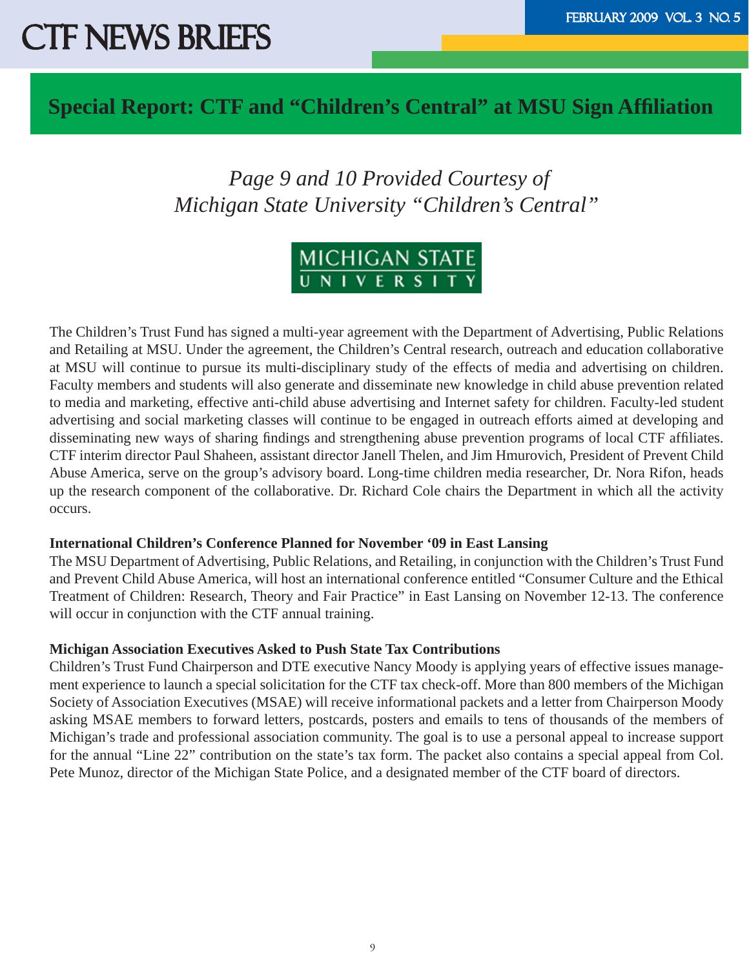### **Special Report: CTF and "Children's Central" at MSU Sign Affi liation**

## *Page 9 and 10 Provided Courtesy of Michigan State University "Children's Central"*



The Children's Trust Fund has signed a multi-year agreement with the Department of Advertising, Public Relations and Retailing at MSU. Under the agreement, the Children's Central research, outreach and education collaborative at MSU will continue to pursue its multi-disciplinary study of the effects of media and advertising on children. Faculty members and students will also generate and disseminate new knowledge in child abuse prevention related to media and marketing, effective anti-child abuse advertising and Internet safety for children. Faculty-led student advertising and social marketing classes will continue to be engaged in outreach efforts aimed at developing and disseminating new ways of sharing findings and strengthening abuse prevention programs of local CTF affiliates. CTF interim director Paul Shaheen, assistant director Janell Thelen, and Jim Hmurovich, President of Prevent Child Abuse America, serve on the group's advisory board. Long-time children media researcher, Dr. Nora Rifon, heads up the research component of the collaborative. Dr. Richard Cole chairs the Department in which all the activity occurs.

#### **International Children's Conference Planned for November '09 in East Lansing**

The MSU Department of Advertising, Public Relations, and Retailing, in conjunction with the Children's Trust Fund and Prevent Child Abuse America, will host an international conference entitled "Consumer Culture and the Ethical Treatment of Children: Research, Theory and Fair Practice" in East Lansing on November 12-13. The conference will occur in conjunction with the CTF annual training.

#### **Michigan Association Executives Asked to Push State Tax Contributions**

Children's Trust Fund Chairperson and DTE executive Nancy Moody is applying years of effective issues management experience to launch a special solicitation for the CTF tax check-off. More than 800 members of the Michigan Society of Association Executives (MSAE) will receive informational packets and a letter from Chairperson Moody asking MSAE members to forward letters, postcards, posters and emails to tens of thousands of the members of Michigan's trade and professional association community. The goal is to use a personal appeal to increase support for the annual "Line 22" contribution on the state's tax form. The packet also contains a special appeal from Col. Pete Munoz, director of the Michigan State Police, and a designated member of the CTF board of directors.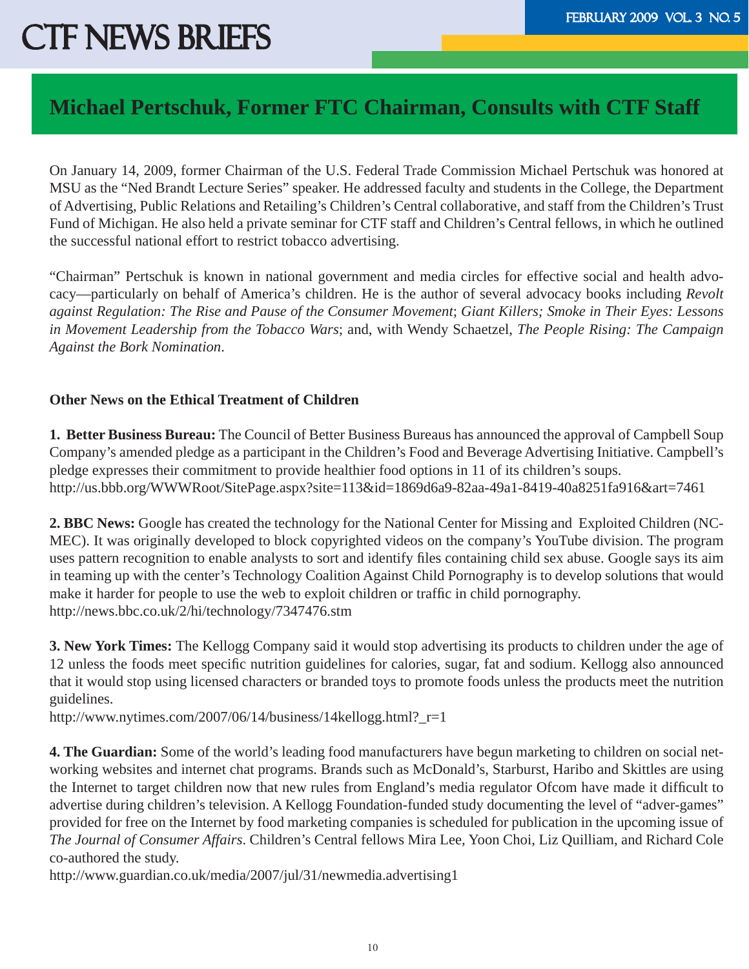## **Michael Pertschuk, Former FTC Chairman, Consults with CTF Staff**

On January 14, 2009, former Chairman of the U.S. Federal Trade Commission Michael Pertschuk was honored at MSU as the "Ned Brandt Lecture Series" speaker. He addressed faculty and students in the College, the Department of Advertising, Public Relations and Retailing's Children's Central collaborative, and staff from the Children's Trust Fund of Michigan. He also held a private seminar for CTF staff and Children's Central fellows, in which he outlined the successful national effort to restrict tobacco advertising.

"Chairman" Pertschuk is known in national government and media circles for effective social and health advocacy—particularly on behalf of America's children. He is the author of several advocacy books including *Revolt against Regulation: The Rise and Pause of the Consumer Movement*; *Giant Killers; Smoke in Their Eyes: Lessons in Movement Leadership from the Tobacco Wars*; and, with Wendy Schaetzel, *The People Rising: The Campaign Against the Bork Nomination*.

#### **Other News on the Ethical Treatment of Children**

**1. Better Business Bureau:** The Council of Better Business Bureaus has announced the approval of Campbell Soup Company's amended pledge as a participant in the Children's Food and Beverage Advertising Initiative. Campbell's pledge expresses their commitment to provide healthier food options in 11 of its children's soups. http://us.bbb.org/WWWRoot/SitePage.aspx?site=113&id=1869d6a9-82aa-49a1-8419-40a8251fa916&art=7461

**2. BBC News:** Google has created the technology for the National Center for Missing and Exploited Children (NC-MEC). It was originally developed to block copyrighted videos on the company's YouTube division. The program uses pattern recognition to enable analysts to sort and identify files containing child sex abuse. Google says its aim in teaming up with the center's Technology Coalition Against Child Pornography is to develop solutions that would make it harder for people to use the web to exploit children or traffic in child pornography. http://news.bbc.co.uk/2/hi/technology/7347476.stm

**3. New York Times:** The Kellogg Company said it would stop advertising its products to children under the age of 12 unless the foods meet specific nutrition guidelines for calories, sugar, fat and sodium. Kellogg also announced that it would stop using licensed characters or branded toys to promote foods unless the products meet the nutrition guidelines.

http://www.nytimes.com/2007/06/14/business/14kellogg.html?\_r=1

**4. The Guardian:** Some of the world's leading food manufacturers have begun marketing to children on social networking websites and internet chat programs. Brands such as McDonald's, Starburst, Haribo and Skittles are using the Internet to target children now that new rules from England's media regulator Ofcom have made it difficult to advertise during children's television. A Kellogg Foundation-funded study documenting the level of "adver-games" provided for free on the Internet by food marketing companies is scheduled for publication in the upcoming issue of *The Journal of Consumer Affairs*. Children's Central fellows Mira Lee, Yoon Choi, Liz Quilliam, and Richard Cole co-authored the study.

http://www.guardian.co.uk/media/2007/jul/31/newmedia.advertising1